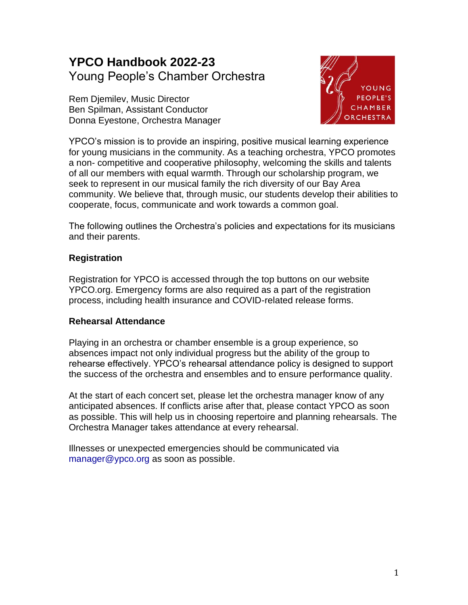# **YPCO Handbook 2022-23** Young People's Chamber Orchestra

Rem Djemilev, Music Director Ben Spilman, Assistant Conductor Donna Eyestone, Orchestra Manager



YPCO's mission is to provide an inspiring, positive musical learning experience for young musicians in the community. As a teaching orchestra, YPCO promotes a non- competitive and cooperative philosophy, welcoming the skills and talents of all our members with equal warmth. Through our scholarship program, we seek to represent in our musical family the rich diversity of our Bay Area community. We believe that, through music, our students develop their abilities to cooperate, focus, communicate and work towards a common goal.

The following outlines the Orchestra's policies and expectations for its musicians and their parents.

# **Registration**

Registration for YPCO is accessed through the top buttons on our website YPCO.org. Emergency forms are also required as a part of the registration process, including health insurance and COVID-related release forms.

### **Rehearsal Attendance**

Playing in an orchestra or chamber ensemble is a group experience, so absences impact not only individual progress but the ability of the group to rehearse effectively. YPCO's rehearsal attendance policy is designed to support the success of the orchestra and ensembles and to ensure performance quality.

At the start of each concert set, please let the orchestra manager know of any anticipated absences. If conflicts arise after that, please contact YPCO as soon as possible. This will help us in choosing repertoire and planning rehearsals. The Orchestra Manager takes attendance at every rehearsal.

Illnesses or unexpected emergencies should be communicated via manager@ypco.org as soon as possible.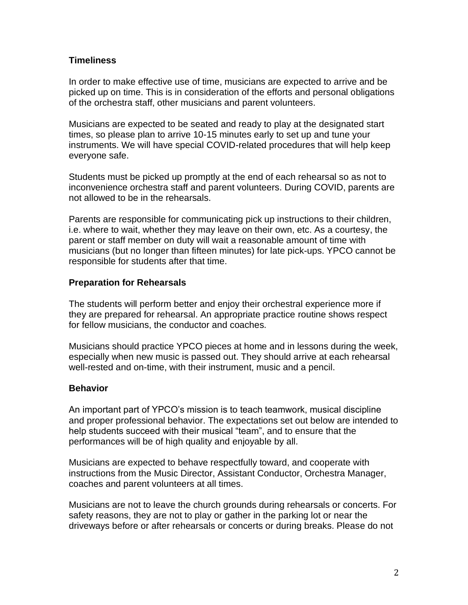## **Timeliness**

In order to make effective use of time, musicians are expected to arrive and be picked up on time. This is in consideration of the efforts and personal obligations of the orchestra staff, other musicians and parent volunteers.

Musicians are expected to be seated and ready to play at the designated start times, so please plan to arrive 10-15 minutes early to set up and tune your instruments. We will have special COVID-related procedures that will help keep everyone safe.

Students must be picked up promptly at the end of each rehearsal so as not to inconvenience orchestra staff and parent volunteers. During COVID, parents are not allowed to be in the rehearsals.

Parents are responsible for communicating pick up instructions to their children, i.e. where to wait, whether they may leave on their own, etc. As a courtesy, the parent or staff member on duty will wait a reasonable amount of time with musicians (but no longer than fifteen minutes) for late pick-ups. YPCO cannot be responsible for students after that time.

## **Preparation for Rehearsals**

The students will perform better and enjoy their orchestral experience more if they are prepared for rehearsal. An appropriate practice routine shows respect for fellow musicians, the conductor and coaches.

Musicians should practice YPCO pieces at home and in lessons during the week, especially when new music is passed out. They should arrive at each rehearsal well-rested and on-time, with their instrument, music and a pencil.

# **Behavior**

An important part of YPCO's mission is to teach teamwork, musical discipline and proper professional behavior. The expectations set out below are intended to help students succeed with their musical "team", and to ensure that the performances will be of high quality and enjoyable by all.

Musicians are expected to behave respectfully toward, and cooperate with instructions from the Music Director, Assistant Conductor, Orchestra Manager, coaches and parent volunteers at all times.

Musicians are not to leave the church grounds during rehearsals or concerts. For safety reasons, they are not to play or gather in the parking lot or near the driveways before or after rehearsals or concerts or during breaks. Please do not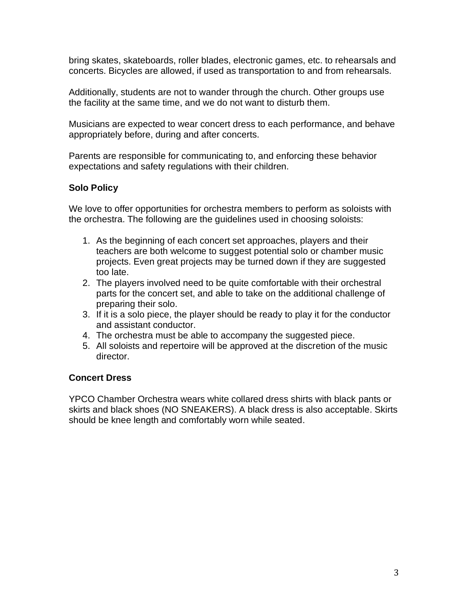bring skates, skateboards, roller blades, electronic games, etc. to rehearsals and concerts. Bicycles are allowed, if used as transportation to and from rehearsals.

Additionally, students are not to wander through the church. Other groups use the facility at the same time, and we do not want to disturb them.

Musicians are expected to wear concert dress to each performance, and behave appropriately before, during and after concerts.

Parents are responsible for communicating to, and enforcing these behavior expectations and safety regulations with their children.

# **Solo Policy**

We love to offer opportunities for orchestra members to perform as soloists with the orchestra. The following are the guidelines used in choosing soloists:

- 1. As the beginning of each concert set approaches, players and their teachers are both welcome to suggest potential solo or chamber music projects. Even great projects may be turned down if they are suggested too late.
- 2. The players involved need to be quite comfortable with their orchestral parts for the concert set, and able to take on the additional challenge of preparing their solo.
- 3. If it is a solo piece, the player should be ready to play it for the conductor and assistant conductor.
- 4. The orchestra must be able to accompany the suggested piece.
- 5. All soloists and repertoire will be approved at the discretion of the music director.

# **Concert Dress**

YPCO Chamber Orchestra wears white collared dress shirts with black pants or skirts and black shoes (NO SNEAKERS). A black dress is also acceptable. Skirts should be knee length and comfortably worn while seated.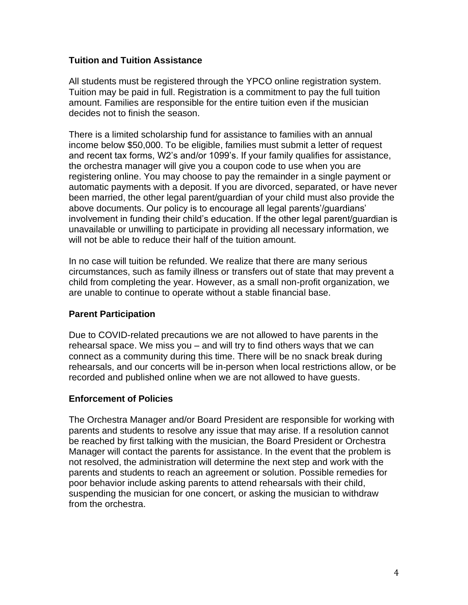## **Tuition and Tuition Assistance**

All students must be registered through the YPCO online registration system. Tuition may be paid in full. Registration is a commitment to pay the full tuition amount. Families are responsible for the entire tuition even if the musician decides not to finish the season.

There is a limited scholarship fund for assistance to families with an annual income below \$50,000. To be eligible, families must submit a letter of request and recent tax forms, W2's and/or 1099's. If your family qualifies for assistance, the orchestra manager will give you a coupon code to use when you are registering online. You may choose to pay the remainder in a single payment or automatic payments with a deposit. If you are divorced, separated, or have never been married, the other legal parent/guardian of your child must also provide the above documents. Our policy is to encourage all legal parents'/guardians' involvement in funding their child's education. If the other legal parent/guardian is unavailable or unwilling to participate in providing all necessary information, we will not be able to reduce their half of the tuition amount.

In no case will tuition be refunded. We realize that there are many serious circumstances, such as family illness or transfers out of state that may prevent a child from completing the year. However, as a small non-profit organization, we are unable to continue to operate without a stable financial base.

### **Parent Participation**

Due to COVID-related precautions we are not allowed to have parents in the rehearsal space. We miss you – and will try to find others ways that we can connect as a community during this time. There will be no snack break during rehearsals, and our concerts will be in-person when local restrictions allow, or be recorded and published online when we are not allowed to have guests.

### **Enforcement of Policies**

The Orchestra Manager and/or Board President are responsible for working with parents and students to resolve any issue that may arise. If a resolution cannot be reached by first talking with the musician, the Board President or Orchestra Manager will contact the parents for assistance. In the event that the problem is not resolved, the administration will determine the next step and work with the parents and students to reach an agreement or solution. Possible remedies for poor behavior include asking parents to attend rehearsals with their child, suspending the musician for one concert, or asking the musician to withdraw from the orchestra.